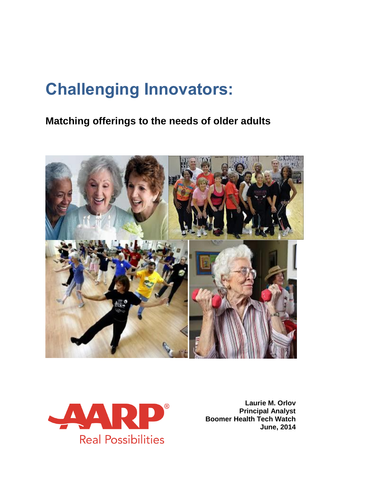# **Challenging Innovators:**

## **Matching offerings to the needs of older adults**





**Laurie M. Orlov Principal Analyst Boomer Health Tech Watch June, 2014**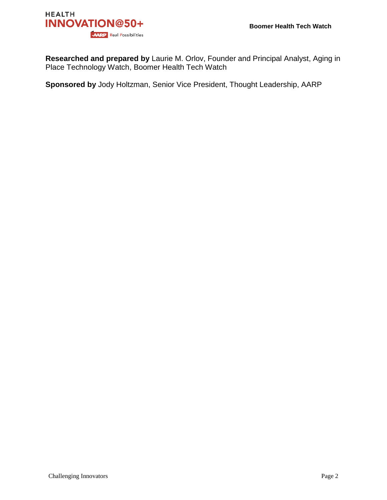

**Researched and prepared by** Laurie M. Orlov, Founder and Principal Analyst, Aging in Place Technology Watch, Boomer Health Tech Watch

**Sponsored by** Jody Holtzman, Senior Vice President, Thought Leadership, AARP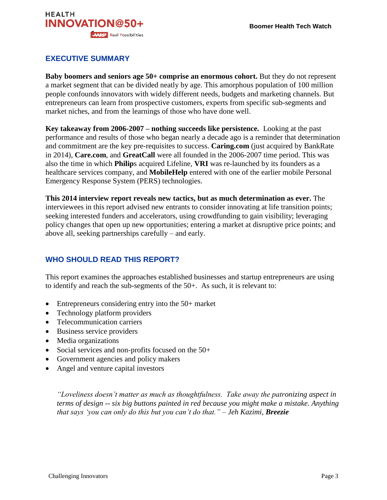

## **EXECUTIVE SUMMARY**

**Baby boomers and seniors age 50+ comprise an enormous cohort.** But they do not represent a market segment that can be divided neatly by age. This amorphous population of 100 million people confounds innovators with widely different needs, budgets and marketing channels. But entrepreneurs can learn from prospective customers, experts from specific sub-segments and market niches, and from the learnings of those who have done well.

**Key takeaway from 2006-2007 – nothing succeeds like persistence.** Looking at the past performance and results of those who began nearly a decade ago is a reminder that determination and commitment are the key pre-requisites to success. **Caring.com** (just acquired by BankRate in 2014), **Care.com**, and **GreatCall** were all founded in the 2006-2007 time period. This was also the time in which **Philip**s acquired Lifeline, **VRI** was re-launched by its founders as a healthcare services company, and **MobileHelp** entered with one of the earlier mobile Personal Emergency Response System (PERS) technologies.

**This 2014 interview report reveals new tactics, but as much determination as ever.** The interviewees in this report advised new entrants to consider innovating at life transition points; seeking interested funders and accelerators, using crowdfunding to gain visibility; leveraging policy changes that open up new opportunities; entering a market at disruptive price points; and above all, seeking partnerships carefully – and early.

#### **WHO SHOULD READ THIS REPORT?**

This report examines the approaches established businesses and startup entrepreneurs are using to identify and reach the sub-segments of the 50+. As such, it is relevant to:

- Entrepreneurs considering entry into the 50+ market
- Technology platform providers
- Telecommunication carriers
- Business service providers
- Media organizations
- Social services and non-profits focused on the 50+
- Government agencies and policy makers
- Angel and venture capital investors

*"Loveliness doesn't matter as much as thoughtfulness. Take away the patronizing aspect in terms of design -- six big buttons painted in red because you might make a mistake. Anything that says 'you can only do this but you can't do that." – Jeh Kazimi, Breezie*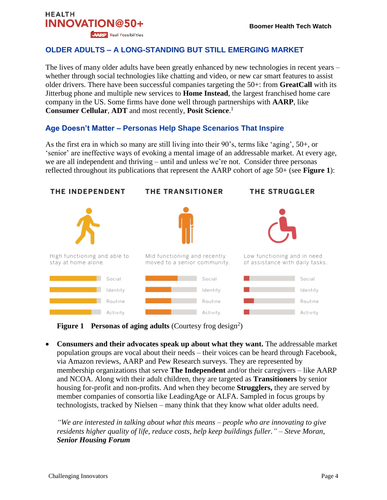#### **OLDER ADULTS – A LONG-STANDING BUT STILL EMERGING MARKET**

The lives of many older adults have been greatly enhanced by new technologies in recent years – whether through social technologies like chatting and video, or new car smart features to assist older drivers. There have been successful companies targeting the 50+: from **GreatCall** with its Jitterbug phone and multiple new services to **Home Instead**, the largest franchised home care company in the US. Some firms have done well through partnerships with **AARP**, like **Consumer Cellular**, **ADT** and most recently, **Posit Science**. 1

#### **Age Doesn't Matter – Personas Help Shape Scenarios That Inspire**

As the first era in which so many are still living into their 90's, terms like 'aging', 50+, or 'senior' are ineffective ways of evoking a mental image of an addressable market. At every age, we are all independent and thriving – until and unless we're not. Consider three personas reflected throughout its publications that represent the AARP cohort of age 50+ (see **Figure 1**):



**Figure 1** Personas of aging adults (Courtesy frog design<sup>2</sup>)

 **Consumers and their advocates speak up about what they want.** The addressable market population groups are vocal about their needs – their voices can be heard through Facebook, via Amazon reviews, AARP and Pew Research surveys. They are represented by membership organizations that serve **The Independent** and/or their caregivers – like AARP and NCOA. Along with their adult children, they are targeted as **Transitioners** by senior housing for-profit and non-profits. And when they become **Strugglers,** they are served by member companies of consortia like LeadingAge or ALFA. Sampled in focus groups by technologists, tracked by Nielsen – many think that they know what older adults need.

*"We are interested in talking about what this means – people who are innovating to give residents higher quality of life, reduce costs, help keep buildings fuller." – Steve Moran, Senior Housing Forum*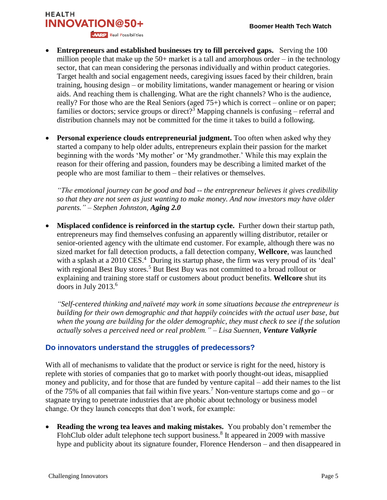## **HEALTH INNOVATION@50+ AARP** Real Possibilities

- **Entrepreneurs and established businesses try to fill perceived gaps.** Serving the 100 million people that make up the  $50+$  market is a tall and amorphous order – in the technology sector, that can mean considering the personas individually and within product categories. Target health and social engagement needs, caregiving issues faced by their children, brain training, housing design – or mobility limitations, wander management or hearing or vision aids. And reaching them is challenging. What are the right channels? Who is the audience, really? For those who are the Real Seniors (aged 75+) which is correct – online or on paper; families or doctors; service groups or direct?<sup>3</sup> Mapping channels is confusing – referral and distribution channels may not be committed for the time it takes to build a following.
- **Personal experience clouds entrepreneurial judgment.** Too often when asked why they started a company to help older adults, entrepreneurs explain their passion for the market beginning with the words 'My mother' or 'My grandmother.' While this may explain the reason for their offering and passion, founders may be describing a limited market of the people who are most familiar to them – their relatives or themselves.

*"The emotional journey can be good and bad -- the entrepreneur believes it gives credibility so that they are not seen as just wanting to make money. And now investors may have older parents." – Stephen Johnston, Aging 2.0*

 **Misplaced confidence is reinforced in the startup cycle.** Further down their startup path, entrepreneurs may find themselves confusing an apparently willing distributor, retailer or senior-oriented agency with the ultimate end customer. For example, although there was no sized market for fall detection products, a fall detection company, **Wellcore**, was launched with a splash at a 2010 CES.<sup>4</sup> During its startup phase, the firm was very proud of its 'deal' with regional Best Buy stores.<sup>5</sup> But Best Buy was not committed to a broad rollout or explaining and training store staff or customers about product benefits. **Wellcore** shut its doors in July 2013.<sup>6</sup>

*"Self-centered thinking and [naïveté](http://en.wiktionary.org/wiki/na%C3%AFvet%C3%A9) may work in some situations because the entrepreneur is building for their own demographic and that happily coincides with the actual user base, but when the young are building for the older demographic, they must check to see if the solution actually solves a perceived need or real problem." – Lisa Suennen, Venture Valkyrie*

## **Do innovators understand the struggles of predecessors?**

With all of mechanisms to validate that the product or service is right for the need, history is replete with stories of companies that go to market with poorly thought-out ideas, misapplied money and publicity, and for those that are funded by venture capital – add their names to the list of the 75% of all companies that fail within five years.<sup>7</sup> Non-venture startups come and go – or stagnate trying to penetrate industries that are phobic about technology or business model change. Or they launch concepts that don't work, for example:

 **Reading the wrong tea leaves and making mistakes.** You probably don't remember the FlohClub older adult telephone tech support business.<sup>8</sup> It appeared in 2009 with massive hype and publicity about its signature founder, Florence Henderson – and then disappeared in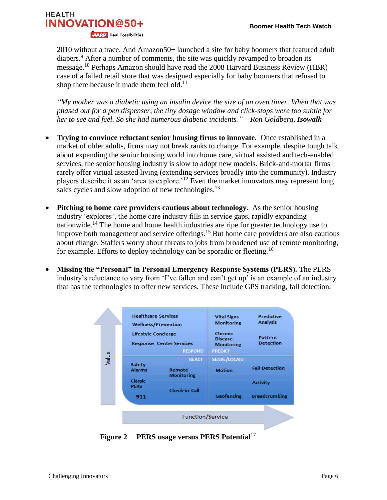

2010 without a trace. And Amazon50+ launched a site for baby boomers that featured adult diapers.<sup>9</sup> After a number of comments, the site was quickly revamped to broaden its message.<sup>10</sup> Perhaps Amazon should have read the 2008 Harvard Business Review (HBR) case of a failed retail store that was designed especially for baby boomers that refused to shop there because it made them feel old. $^{11}$ 

*"My mother was a diabetic using an insulin device the size of an oven timer. When that was phased out for a pen dispenser, the tiny dosage window and click-stops were too subtle for her to see and feel. So she had numerous diabetic incidents." – Ron Goldberg, Isowalk*

- **Trying to convince reluctant senior housing firms to innovate.** Once established in a market of older adults, firms may not break ranks to change. For example, despite tough talk about expanding the senior housing world into home care, virtual assisted and tech-enabled services, the senior housing industry is slow to adopt new models. Brick-and-mortar firms rarely offer virtual assisted living (extending services broadly into the community). Industry players describe it as an 'area to explore.'<sup>12</sup> Even the market innovators may represent long sales cycles and slow adoption of new technologies.<sup>13</sup>
- **Pitching to home care providers cautious about technology.** As the senior housing industry 'explores', the home care industry fills in service gaps, rapidly expanding nationwide.<sup>14</sup> The home and home health industries are ripe for greater technology use to improve both management and service offerings.<sup>15</sup> But home care providers are also cautious about change. Staffers worry about threats to jobs from broadened use of remote monitoring, for example. Efforts to deploy technology can be sporadic or fleeting.<sup>16</sup>
- **Missing the "Personal" in Personal Emergency Response Systems (PERS).** The PERS industry's reluctance to vary from 'I've fallen and can't get up' is an example of an industry that has the technologies to offer new services. These include GPS tracking, fall detection,



Figure 2 PERS usage versus PERS Potential<sup>17</sup>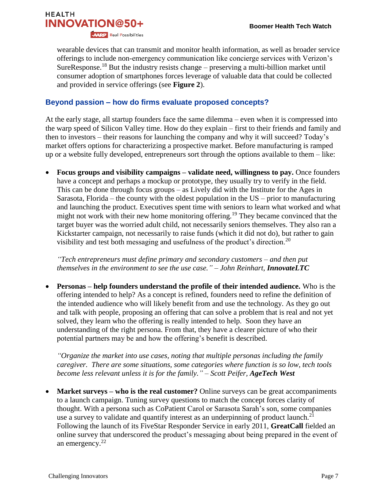

wearable devices that can transmit and monitor health information, as well as broader service offerings to include non-emergency communication like concierge services with Verizon's SureResponse.<sup>18</sup> But the industry resists change – preserving a multi-billion market until consumer adoption of smartphones forces leverage of valuable data that could be collected and provided in service offerings (see **Figure 2**).

#### **Beyond passion – how do firms evaluate proposed concepts?**

At the early stage, all startup founders face the same dilemma – even when it is compressed into the warp speed of Silicon Valley time. How do they explain – first to their friends and family and then to investors – their reasons for launching the company and why it will succeed? Today's market offers options for characterizing a prospective market. Before manufacturing is ramped up or a website fully developed, entrepreneurs sort through the options available to them – like:

 **Focus groups and visibility campaigns – validate need, willingness to pay.** Once founders have a concept and perhaps a mockup or prototype, they usually try to verify in the field. This can be done through focus groups – as Lively did with the Institute for the Ages in Sarasota, Florida – the county with the oldest population in the  $US -$  prior to manufacturing and launching the product. Executives spent time with seniors to learn what worked and what might not work with their new home monitoring offering.<sup>19</sup> They became convinced that the target buyer was the worried adult child, not necessarily seniors themselves. They also ran a Kickstarter campaign, not necessarily to raise funds (which it did not do), but rather to gain visibility and test both messaging and usefulness of the product's direction.<sup>20</sup>

*"Tech entrepreneurs must define primary and secondary customers – and then put themselves in the environment to see the use case." – John Reinhart, InnovateLTC*

 **Personas – help founders understand the profile of their intended audience.** Who is the offering intended to help? As a concept is refined, founders need to refine the definition of the intended audience who will likely benefit from and use the technology. As they go out and talk with people, proposing an offering that can solve a problem that is real and not yet solved, they learn who the offering is really intended to help. Soon they have an understanding of the right persona. From that, they have a clearer picture of who their potential partners may be and how the offering's benefit is described.

*"Organize the market into use cases, noting that multiple personas including the family caregiver. There are some situations, some categories where function is so low, tech tools become less relevant unless it is for the family." – Scott Peifer, AgeTech West*

 **Market surveys – who is the real customer?** Online surveys can be great accompaniments to a launch campaign. Tuning survey questions to match the concept forces clarity of thought. With a persona such as CoPatient Carol or Sarasota Sarah's son, some companies use a survey to validate and quantify interest as an underpinning of product launch.<sup>21</sup> Following the launch of its FiveStar Responder Service in early 2011, **GreatCall** fielded an online survey that underscored the product's messaging about being prepared in the event of an emergency. $22$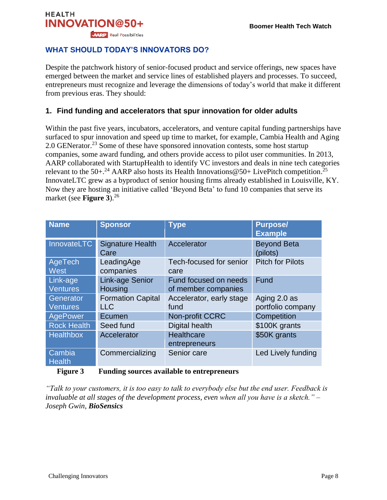## **HEALTH INNOVATION@50+ AARP** Real Possibilities

## **WHAT SHOULD TODAY'S INNOVATORS DO?**

Despite the patchwork history of senior-focused product and service offerings, new spaces have emerged between the market and service lines of established players and processes. To succeed, entrepreneurs must recognize and leverage the dimensions of today's world that make it different from previous eras. They should:

## **1. Find funding and accelerators that spur innovation for older adults**

Within the past five years, incubators, accelerators, and venture capital funding partnerships have surfaced to spur innovation and speed up time to market, for example, Cambia Health and Aging 2.0 GENerator.<sup>23</sup> Some of these have sponsored innovation contests, some host startup companies, some award funding, and others provide access to pilot user communities. In 2013, AARP collaborated with StartupHealth to identify VC investors and deals in nine tech categories relevant to the 50+.<sup>24</sup> AARP also hosts its Health Innovations @50+ LivePitch competition.<sup>25</sup> InnovateLTC grew as a byproduct of senior housing firms already established in Louisville, KY. Now they are hosting an initiative called 'Beyond Beta' to fund 10 companies that serve its market (see **Figure 3**). 26

| <b>Name</b>                  | <b>Sponsor</b>                         | <b>Type</b>                                  | <b>Purpose/</b><br><b>Example</b> |
|------------------------------|----------------------------------------|----------------------------------------------|-----------------------------------|
| InnovateLTC                  | <b>Signature Health</b><br>Care        | Accelerator                                  | <b>Beyond Beta</b><br>(pilots)    |
| AgeTech<br><b>West</b>       | LeadingAge<br>companies                | Tech-focused for senior<br>care              | <b>Pitch for Pilots</b>           |
| Link-age<br><b>Ventures</b>  | <b>Link-age Senior</b><br>Housing      | Fund focused on needs<br>of member companies | Fund                              |
| Generator<br><b>Ventures</b> | <b>Formation Capital</b><br><b>LLC</b> | Accelerator, early stage<br>fund             | Aging 2.0 as<br>portfolio company |
| AgePower                     | Ecumen                                 | Non-profit CCRC                              | Competition                       |
| <b>Rock Health</b>           | Seed fund                              | Digital health                               | \$100K grants                     |
| Healthbox                    | Accelerator                            | Healthcare<br>entrepreneurs                  | \$50K grants                      |
| Cambia<br><b>Health</b>      | Commercializing                        | Senior care                                  | Led Lively funding                |

#### **Figure 3 Funding sources available to entrepreneurs**

*"Talk to your customers, it is too easy to talk to everybody else but the end user. Feedback is invaluable at all stages of the development process, even when all you have is a sketch." – Joseph Gwin, BioSensics*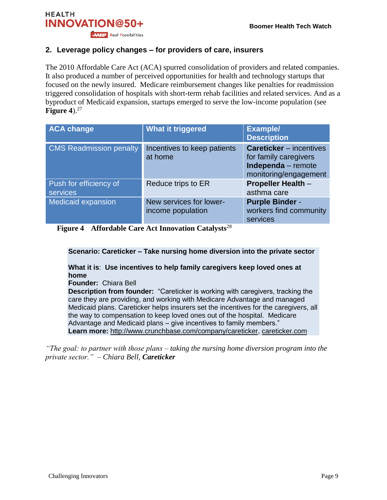

### **2. Leverage policy changes – for providers of care, insurers**

The 2010 Affordable Care Act (ACA) spurred consolidation of providers and related companies. It also produced a number of perceived opportunities for health and technology startups that focused on the newly insured. Medicare reimbursement changes like penalties for readmission triggered consolidation of hospitals with short-term rehab facilities and related services. And as a byproduct of Medicaid expansion, startups emerged to serve the low-income population (see **Figure 4**). 27

| <b>ACA change</b>                  | <b>What it triggered</b>                     | <b>Example/</b><br><b>Description</b>                                                                  |
|------------------------------------|----------------------------------------------|--------------------------------------------------------------------------------------------------------|
| <b>CMS Readmission penalty</b>     | Incentives to keep patients<br>at home       | <b>Careticker</b> – incentives<br>for family caregivers<br>Independa - remote<br>monitoring/engagement |
| Push for efficiency of<br>services | Reduce trips to ER                           | <b>Propeller Health -</b><br>asthma care                                                               |
| <b>Medicaid expansion</b>          | New services for lower-<br>income population | <b>Purple Binder -</b><br>workers find community<br>services                                           |

**Figure 4 Affordable Care Act Innovation Catalysts**<sup>28</sup>

**Scenario: Careticker – Take nursing home diversion into the private sector** 

**What it is**: **Use incentives to help family caregivers keep loved ones at home**

**Founder:** Chiara Bell

**Description from founder:** "Careticker is working with caregivers, tracking the care they are providing, and working with Medicare Advantage and managed Medicaid plans. Careticker helps insurers set the incentives for the caregivers, all the way to compensation to keep loved ones out of the hospital. Medicare Advantage and Medicaid plans – give incentives to family members." **Learn more:** [http://www.crunchbase.com/company/careticker,](http://www.crunchbase.com/company/careticker) [careticker.com](https://www.careticker.com/home.htm)

*"The goal: to partner with those plans – taking the nursing home diversion program into the private sector." – Chiara Bell, Careticker*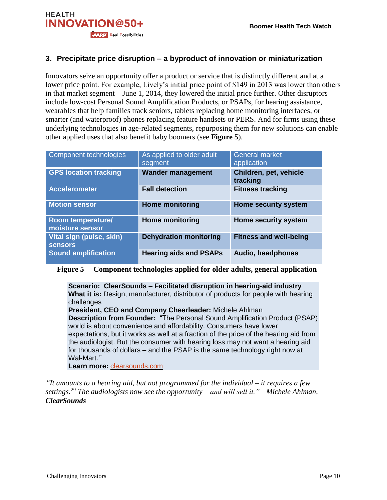

## **3. Precipitate price disruption – a byproduct of innovation or miniaturization**

Innovators seize an opportunity offer a product or service that is distinctly different and at a lower price point. For example, Lively's initial price point of \$149 in 2013 was lower than others in that market segment – June 1, 2014, they lowered the initial price further. Other disruptors include low-cost Personal Sound Amplification Products, or PSAPs, for hearing assistance, wearables that help families track seniors, tablets replacing home monitoring interfaces, or smarter (and waterproof) phones replacing feature handsets or PERS. And for firms using these underlying technologies in age-related segments, repurposing them for new solutions can enable other applied uses that also benefit baby boomers (see **Figure 5**).

| Component technologies                      | As applied to older adult<br>segment | <b>General market</b><br>application |
|---------------------------------------------|--------------------------------------|--------------------------------------|
| <b>GPS location tracking</b>                | <b>Wander management</b>             | Children, pet, vehicle<br>tracking   |
| <b>Accelerometer</b>                        | <b>Fall detection</b>                | <b>Fitness tracking</b>              |
| <b>Motion sensor</b>                        | <b>Home monitoring</b>               | <b>Home security system</b>          |
| <b>Room temperature/</b><br>moisture sensor | <b>Home monitoring</b>               | Home security system                 |
| Vital sign (pulse, skin)<br><b>sensors</b>  | <b>Dehydration monitoring</b>        | <b>Fitness and well-being</b>        |
| <b>Sound amplification</b>                  | <b>Hearing aids and PSAPs</b>        | Audio, headphones                    |

#### **Figure 5 Component technologies applied for older adults, general application**

**Scenario: ClearSounds – Facilitated disruption in hearing-aid industry What it is:** Design, manufacturer, distributor of products for people with hearing challenges

**President, CEO and Company Cheerleader:** Michele Ahlman **Description from Founder:** "The Personal Sound Amplification Product (PSAP) world is about convenience and affordability. Consumers have lower expectations, but it works as well at a fraction of the price of the hearing aid from the audiologist. But the consumer with hearing loss may not want a hearing aid for thousands of dollars – and the PSAP is the same technology right now at Wal-Mart.*"*

**Learn more:** [clearsounds.com](http://clearsounds.com/)

*"It amounts to a hearing aid, but not programmed for the individual – it requires a few settings.<sup>29</sup> The audiologists now see the opportunity – and will sell it."—Michele Ahlman, ClearSounds*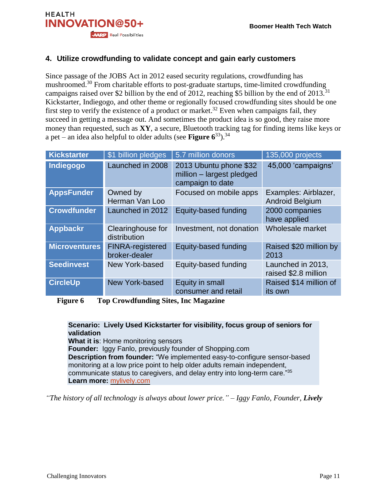

## **4. Utilize crowdfunding to validate concept and gain early customers**

Since passage of the JOBS Act in 2012 eased security regulations, crowdfunding has mushroomed.<sup>30</sup> From charitable efforts to post-graduate startups, time-limited crowdfunding campaigns raised over \$2 billion by the end of 2012, reaching \$5 billion by the end of  $2013$ .<sup>31</sup> Kickstarter, Indiegogo, and other theme or regionally focused crowdfunding sites should be one first step to verify the existence of a product or market.<sup>32</sup> Even when campaigns fail, they succeed in getting a message out. And sometimes the product idea is so good, they raise more money than requested, such as **XY**, a secure, Bluetooth tracking tag for finding items like keys or a pet – an idea also helpful to older adults (see **Figure 6**<sup>33</sup>). 34

| <b>Kickstarter</b>   | \$1 billion pledges                      | 5.7 million donors                                                      | 135,000 projects                               |
|----------------------|------------------------------------------|-------------------------------------------------------------------------|------------------------------------------------|
| Indiegogo            | Launched in 2008                         | 2013 Ubuntu phone \$32<br>million - largest pledged<br>campaign to date | 45,000 'campaigns'                             |
| <b>AppsFunder</b>    | Owned by<br>Herman Van Loo               | Focused on mobile apps                                                  | Examples: Airblazer,<br><b>Android Belgium</b> |
| <b>Crowdfunder</b>   | Launched in 2012                         | Equity-based funding                                                    | 2000 companies<br>have applied                 |
| <b>Appbackr</b>      | Clearinghouse for<br>distribution        | Investment, not donation                                                | Wholesale market                               |
| <b>Microventures</b> | <b>FINRA-registered</b><br>broker-dealer | Equity-based funding                                                    | Raised \$20 million by<br>2013                 |
| <b>Seedinvest</b>    | New York-based                           | Equity-based funding                                                    | Launched in 2013,<br>raised \$2.8 million      |
| <b>CircleUp</b>      | <b>New York-based</b>                    | Equity in small<br>consumer and retail                                  | Raised \$14 million of<br>its own              |

**Figure 6 Top Crowdfunding Sites, Inc Magazine**

**Scenario: Lively Used Kickstarter for visibility, focus group of seniors for validation What it is**: Home monitoring sensors **Founder:** Iggy Fanlo, previously founder of Shopping.com **Description from founder:** "We implemented easy-to-configure sensor-based monitoring at a low price point to help older adults remain independent, communicate status to caregivers, and delay entry into long-term care."<sup>35</sup> **Learn more:** [mylively.com](http://www.mylively.com/)

*"The history of all technology is always about lower price." – Iggy Fanlo, Founder, Lively*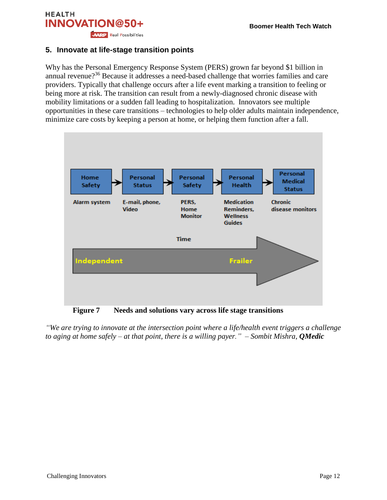

#### **5. Innovate at life-stage transition points**

Why has the Personal Emergency Response System (PERS) grown far beyond \$1 billion in annual revenue?<sup>36</sup> Because it addresses a need-based challenge that worries families and care providers. Typically that challenge occurs after a life event marking a transition to feeling or being more at risk. The transition can result from a newly-diagnosed chronic disease with mobility limitations or a sudden fall leading to hospitalization. Innovators see multiple opportunities in these care transitions – technologies to help older adults maintain independence, minimize care costs by keeping a person at home, or helping them function after a fall.



**Figure 7 Needs and solutions vary across life stage transitions**

*"We are trying to innovate at the intersection point where a life/health event triggers a challenge to aging at home safely – at that point, there is a willing payer." – Sombit Mishra, QMedic*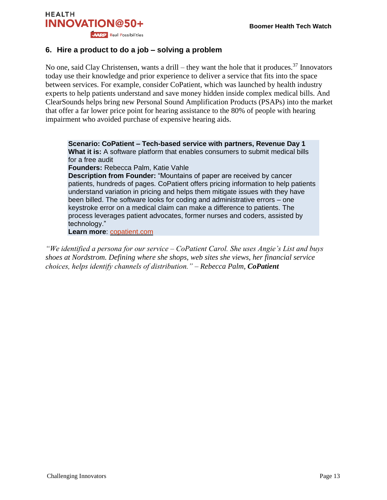

#### **6. Hire a product to do a job – solving a problem**

No one, said Clay Christensen, wants a drill – they want the hole that it produces.<sup>37</sup> Innovators today use their knowledge and prior experience to deliver a service that fits into the space between services. For example, consider CoPatient, which was launched by health industry experts to help patients understand and save money hidden inside complex medical bills. And ClearSounds helps bring new Personal Sound Amplification Products (PSAPs) into the market that offer a far lower price point for hearing assistance to the 80% of people with hearing impairment who avoided purchase of expensive hearing aids.

**Scenario: CoPatient – Tech-based service with partners, Revenue Day 1 What it is:** A software platform that enables consumers to submit medical bills for a free audit **Founders:** Rebecca Palm, Katie Vahle

**Description from Founder:** "Mountains of paper are received by cancer patients, hundreds of pages. CoPatient offers pricing information to help patients understand variation in pricing and helps them mitigate issues with they have been billed. The software looks for coding and administrative errors – one keystroke error on a medical claim can make a difference to patients. The process leverages patient advocates, former nurses and coders, assisted by technology."

**Learn more**: [copatient.com](http://www.copatient.com/)

*"We identified a persona for our service – CoPatient Carol. She uses Angie's List and buys shoes at Nordstrom. Defining where she shops, web sites she views, her financial service choices, helps identify channels of distribution." – Rebecca Palm, CoPatient*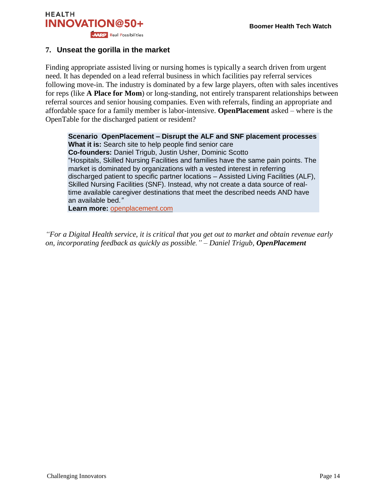

#### **7. Unseat the gorilla in the market**

Finding appropriate assisted living or nursing homes is typically a search driven from urgent need. It has depended on a lead referral business in which facilities pay referral services following move-in. The industry is dominated by a few large players, often with sales incentives for reps (like **A Place for Mom**) or long-standing, not entirely transparent relationships between referral sources and senior housing companies. Even with referrals, finding an appropriate and affordable space for a family member is labor-intensive. **OpenPlacement** asked – where is the OpenTable for the discharged patient or resident?

**Scenario OpenPlacement – Disrupt the ALF and SNF placement processes What it is:** Search site to help people find senior care **Co-founders:** Daniel Trigub, Justin Usher, Dominic Scotto "Hospitals, Skilled Nursing Facilities and families have the same pain points. The market is dominated by organizations with a vested interest in referring discharged patient to specific partner locations – Assisted Living Facilities (ALF), Skilled Nursing Facilities (SNF). Instead, why not create a data source of realtime available caregiver destinations that meet the described needs AND have an available bed.*"*

**Learn more:** [openplacement.com](https://www.openplacement.com/)

*"For a Digital Health service, it is critical that you get out to market and obtain revenue early on, incorporating feedback as quickly as possible." – Daniel Trigub, OpenPlacement*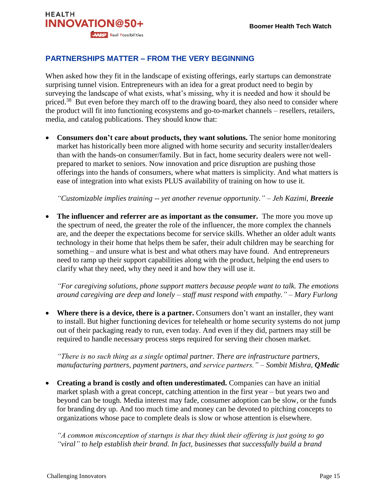

## **PARTNERSHIPS MATTER – FROM THE VERY BEGINNING**

When asked how they fit in the landscape of existing offerings, early startups can demonstrate surprising tunnel vision. Entrepreneurs with an idea for a great product need to begin by surveying the landscape of what exists, what's missing, why it is needed and how it should be priced.<sup>38</sup> But even before they march off to the drawing board, they also need to consider where the product will fit into functioning ecosystems and go-to-market channels – resellers, retailers, media, and catalog publications. They should know that:

 **Consumers don't care about products, they want solutions.** The senior home monitoring market has historically been more aligned with home security and security installer/dealers than with the hands-on consumer/family. But in fact, home security dealers were not wellprepared to market to seniors. Now innovation and price disruption are pushing those offerings into the hands of consumers, where what matters is simplicity. And what matters is ease of integration into what exists PLUS availability of training on how to use it.

*"Customizable implies training -- yet another revenue opportunity." – Jeh Kazimi, Breezie*

• The influencer and referrer are as important as the consumer. The more you move up the spectrum of need, the greater the role of the influencer, the more complex the channels are, and the deeper the expectations become for service skills. Whether an older adult wants technology in their home that helps them be safer, their adult children may be searching for something – and unsure what is best and what others may have found. And entrepreneurs need to ramp up their support capabilities along with the product, helping the end users to clarify what they need, why they need it and how they will use it.

*"For caregiving solutions, phone support matters because people want to talk. The emotions around caregiving are deep and lonely – staff must respond with empathy." – Mary Furlong*

 **Where there is a device, there is a partner.** Consumers don't want an installer, they want to install. But higher functioning devices for telehealth or home security systems do not jump out of their packaging ready to run, even today. And even if they did, partners may still be required to handle necessary process steps required for serving their chosen market.

*"There is no such thing as a single optimal partner. There are infrastructure partners, manufacturing partners, payment partners, and service partners." – Sombit Mishra, QMedic*

 **Creating a brand is costly and often underestimated.** Companies can have an initial market splash with a great concept, catching attention in the first year – but years two and beyond can be tough. Media interest may fade, consumer adoption can be slow, or the funds for branding dry up. And too much time and money can be devoted to pitching concepts to organizations whose pace to complete deals is slow or whose attention is elsewhere.

*"A common misconception of startups is that they think their offering is just going to go "viral" to help establish their brand. In fact, businesses that successfully build a brand*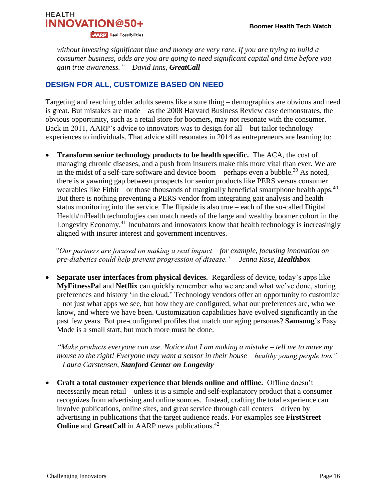

*without investing significant time and money are very rare. If you are trying to build a consumer business, odds are you are going to need significant capital and time before you gain true awareness." – David Inns, GreatCall*

## **DESIGN FOR ALL, CUSTOMIZE BASED ON NEED**

Targeting and reaching older adults seems like a sure thing – demographics are obvious and need is great. But mistakes are made – as the 2008 Harvard Business Review case demonstrates, the obvious opportunity, such as a retail store for boomers, may not resonate with the consumer. Back in 2011, AARP's advice to innovators was to design for all – but tailor technology experiences to individuals. That advice still resonates in 2014 as entrepreneurs are learning to:

 **Transform senior technology products to be health specific.** The ACA, the cost of managing chronic diseases, and a push from insurers make this more vital than ever. We are in the midst of a self-care software and device boom – perhaps even a bubble.<sup>39</sup> As noted, there is a yawning gap between prospects for senior products like PERS versus consumer wearables like Fitbit – or those thousands of marginally beneficial smartphone health apps. $40$ But there is nothing preventing a PERS vendor from integrating gait analysis and health status monitoring into the service. The flipside is also true – each of the so-called Digital Health/mHealth technologies can match needs of the large and wealthy boomer cohort in the Longevity Economy.<sup>41</sup> Incubators and innovators know that health technology is increasingly aligned with insurer interest and government incentives.

 *"Our partners are focused on making a real impact – for example, focusing innovation on pre-diabetics could help prevent progression of disease." – Jenna Rose, Healthbox*

 **Separate user interfaces from physical devices.** Regardless of device, today's apps like **MyFitnessPa**l and **Netflix** can quickly remember who we are and what we've done, storing preferences and history 'in the cloud.' Technology vendors offer an opportunity to customize – not just what apps we see, but how they are configured, what our preferences are, who we know, and where we have been. Customization capabilities have evolved significantly in the past few years. But pre-configured profiles that match our aging personas? **Samsung**'s Easy Mode is a small start, but much more must be done.

*"Make products everyone can use. Notice that I am making a mistake – tell me to move my mouse to the right! Everyone may want a sensor in their house – healthy young people too." – Laura Carstensen, Stanford Center on Longevity*

 **Craft a total customer experience that blends online and offline.** Offline doesn't necessarily mean retail – unless it is a simple and self-explanatory product that a consumer recognizes from advertising and online sources. Instead, crafting the total experience can involve publications, online sites, and great service through call centers – driven by advertising in publications that the target audience reads. For examples see **FirstStreet Online** and **GreatCall** in AARP news publications.<sup>42</sup>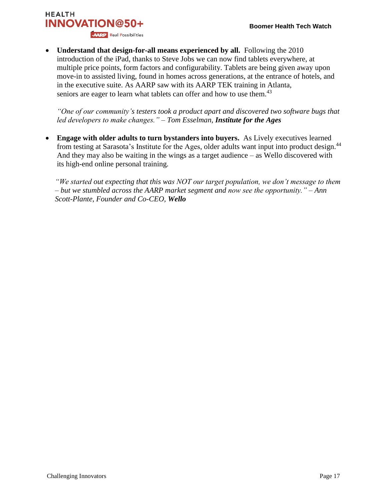## **HEALTH INNOVATION@50+ AARP** Real Possibilities

 **Understand that design-for-all means experienced by all.** Following the 2010 introduction of the iPad, thanks to Steve Jobs we can now find tablets everywhere, at multiple price points, form factors and configurability. Tablets are being given away upon move-in to assisted living, found in homes across generations, at the entrance of hotels, and in the executive suite. As AARP saw with its AARP TEK training in Atlanta, seniors are eager to learn what tablets can offer and how to use them.<sup>43</sup>

*"One of our community's testers took a product apart and discovered two software bugs that led developers to make changes." – Tom Esselman, Institute for the Ages*

 **Engage with older adults to turn bystanders into buyers.** As Lively executives learned from testing at Sarasota's Institute for the Ages, older adults want input into product design.<sup>44</sup> And they may also be waiting in the wings as a target audience – as Wello discovered with its high-end online personal training.

*"We started out expecting that this was NOT our target population, we don't message to them – but we stumbled across the AARP market segment and now see the opportunity." – Ann Scott-Plante, Founder and Co-CEO, Wello*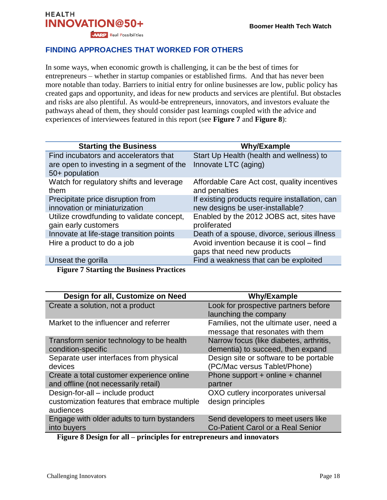## **HEALTH INNOVATION@50+ AARP** Real Possibilities

## **FINDING APPROACHES THAT WORKED FOR OTHERS**

In some ways, when economic growth is challenging, it can be the best of times for entrepreneurs – whether in startup companies or established firms. And that has never been more notable than today. Barriers to initial entry for online businesses are low, public policy has created gaps and opportunity, and ideas for new products and services are plentiful. But obstacles and risks are also plentiful. As would-be entrepreneurs, innovators, and investors evaluate the pathways ahead of them, they should consider past learnings coupled with the advice and experiences of interviewees featured in this report (see **Figure 7** and **Figure 8**):

| Start Up Health (health and wellness) to       |
|------------------------------------------------|
|                                                |
| Affordable Care Act cost, quality incentives   |
| If existing products require installation, can |
|                                                |
| Enabled by the 2012 JOBS act, sites have       |
| Death of a spouse, divorce, serious illness    |
| Avoid invention because it is cool - find      |
|                                                |
|                                                |
| Find a weakness that can be exploited          |

**Figure 7 Starting the Business Practices**

| Design for all, Customize on Need                                                             | <b>Why/Example</b>                                                           |
|-----------------------------------------------------------------------------------------------|------------------------------------------------------------------------------|
| Create a solution, not a product                                                              | Look for prospective partners before                                         |
|                                                                                               | launching the company                                                        |
| Market to the influencer and referrer                                                         | Families, not the ultimate user, need a<br>message that resonates with them  |
| Transform senior technology to be health<br>condition-specific                                | Narrow focus (like diabetes, arthritis,<br>dementia) to succeed, then expand |
| Separate user interfaces from physical<br>devices                                             | Design site or software to be portable<br>(PC/Mac versus Tablet/Phone)       |
| Create a total customer experience online<br>and offline (not necessarily retail)             | Phone support + online + channel<br>partner                                  |
| Design-for-all – include product<br>customization features that embrace multiple<br>audiences | OXO cutlery incorporates universal<br>design principles                      |
| Engage with older adults to turn bystanders<br>into buyers                                    | Send developers to meet users like<br>Co-Patient Carol or a Real Senior      |

**Figure 8 Design for all – principles for entrepreneurs and innovators**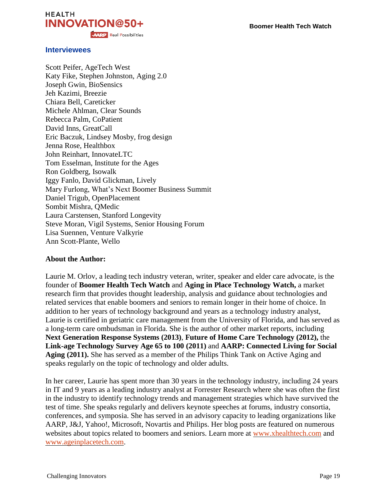



#### **Interviewees**

Scott Peifer, AgeTech West Katy Fike, Stephen Johnston, Aging 2.0 Joseph Gwin, BioSensics Jeh Kazimi, Breezie Chiara Bell, Careticker Michele Ahlman, Clear Sounds Rebecca Palm, CoPatient David Inns, GreatCall Eric Baczuk, Lindsey Mosby, frog design Jenna Rose, Healthbox John Reinhart, InnovateLTC Tom Esselman, Institute for the Ages Ron Goldberg, Isowalk Iggy Fanlo, David Glickman, Lively Mary Furlong, What's Next Boomer Business Summit Daniel Trigub, OpenPlacement Sombit Mishra, QMedic Laura Carstensen, Stanford Longevity Steve Moran, Vigil Systems, Senior Housing Forum Lisa Suennen, Venture Valkyrie Ann Scott-Plante, Wello

#### **About the Author:**

Laurie M. Orlov, a leading tech industry veteran, writer, speaker and elder care advocate, is the founder of **Boomer Health Tech Watch** and **Aging in Place Technology Watch,** a market research firm that provides thought leadership, analysis and guidance about technologies and related services that enable boomers and seniors to remain longer in their home of choice. In addition to her years of technology background and years as a technology industry analyst, Laurie is certified in geriatric care management from the University of Florida, and has served as a long-term care ombudsman in Florida. She is the author of other market reports, including **Next Generation Response Systems (2013)**, **Future of Home Care Technology (2012),** the **Link-age Technology Survey Age 65 to 100 (2011)** and **AARP: Connected Living for Social Aging (2011).** She has served as a member of the Philips Think Tank on Active Aging and speaks regularly on the topic of technology and older adults.

In her career, Laurie has spent more than 30 years in the technology industry, including 24 years in IT and 9 years as a leading industry analyst at Forrester Research where she was often the first in the industry to identify technology trends and management strategies which have survived the test of time. She speaks regularly and delivers keynote speeches at forums, industry consortia, conferences, and symposia. She has served in an advisory capacity to leading organizations like AARP, J&J, Yahoo!, Microsoft, Novartis and Philips. Her blog posts are featured on numerous websites about topics related to boomers and seniors. Learn more at [www.xhealthtech.com](http://www.xhealthtech.com/) and [www.ageinplacetech.com.](http://www.ageinplacetech.com/)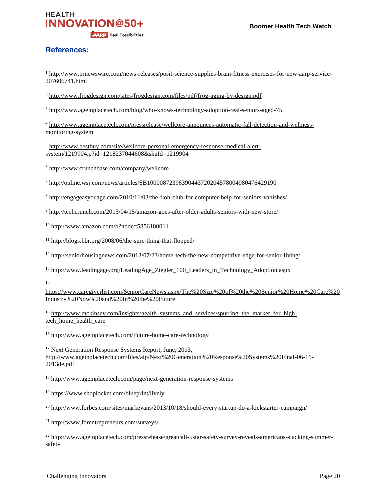

#### **References:**

 $\overline{\phantom{a}}$ 

<sup>1</sup> [http://www.prnewswire.com/news-releases/posit-science-supplies-brain-fitness-exercises-for-new-aarp-service-](http://www.prnewswire.com/news-releases/posit-science-supplies-brain-fitness-exercises-for-new-aarp-service-207606741.html)[207606741.html](http://www.prnewswire.com/news-releases/posit-science-supplies-brain-fitness-exercises-for-new-aarp-service-207606741.html)

<sup>2</sup> <http://www.frogdesign.com/sites/frogdesign.com/files/pdf/frog-aging-by-design.pdf>

<sup>3</sup> <http://www.ageinplacetech.com/blog/who-knows-technology-adoption-real-seniors-aged-75>

<sup>4</sup> [http://www.ageinplacetech.com/pressrelease/wellcore-announces-automatic-fall-detection-and-wellness](http://www.ageinplacetech.com/pressrelease/wellcore-announces-automatic-fall-detection-and-wellness-monitoring-system)[monitoring-system](http://www.ageinplacetech.com/pressrelease/wellcore-announces-automatic-fall-detection-and-wellness-monitoring-system)

<sup>5</sup> [http://www.bestbuy.com/site/wellcore-personal-emergency-response-medical-alert](http://www.bestbuy.com/site/wellcore-personal-emergency-response-medical-alert-system/1219904.p?id=1218237044608&skuId=1219904)[system/1219904.p?id=1218237044608&skuId=1219904](http://www.bestbuy.com/site/wellcore-personal-emergency-response-medical-alert-system/1219904.p?id=1218237044608&skuId=1219904)

<sup>6</sup> <http://www.crunchbase.com/company/wellcore>

<sup>7</sup> <http://online.wsj.com/news/articles/SB10000872396390443720204578004980476429190>

<sup>8</sup> <http://engageasyouage.com/2010/11/03/the-floh-club-for-computer-help-for-seniors-vanishes/>

<sup>9</sup> <http://techcrunch.com/2013/04/15/amazon-goes-after-older-adults-seniors-with-new-store/>

 $10$  <http://www.amazon.com/b?node=5856180011>

<sup>11</sup> <http://blogs.hbr.org/2008/06/the-sure-thing-that-flopped/>

<sup>12</sup> <http://seniorhousingnews.com/2013/07/23/home-tech-the-new-competitive-edge-for-senior-living/>

<sup>13</sup> [http://www.leadingage.org/LeadingAge\\_Ziegler\\_100\\_Leaders\\_in\\_Technology\\_Adoption.aspx](http://www.leadingage.org/LeadingAge_Ziegler_100_Leaders_in_Technology_Adoption.aspx)

14

[https://www.caregiverlist.com/SeniorCareNews.aspx/The%20Size%20of%20the%20Senior%20Home%20Care%20](https://www.caregiverlist.com/SeniorCareNews.aspx/The%20Size%20of%20the%20Senior%20Home%20Care%20Industry%20Now%20and%20In%20the%20Future) [Industry%20Now%20and%20In%20the%20Future](https://www.caregiverlist.com/SeniorCareNews.aspx/The%20Size%20of%20the%20Senior%20Home%20Care%20Industry%20Now%20and%20In%20the%20Future)

<sup>15</sup> [http://www.mckinsey.com/insights/health\\_systems\\_and\\_services/spurring\\_the\\_market\\_for\\_high](http://www.mckinsey.com/insights/health_systems_and_services/spurring_the_market_for_high-tech_home_health_care)tech home health care

<sup>16</sup> http://www.ageinplacetech.com/Future-home-care-technology

<sup>17</sup> Next Generation Response Systems Report, June, 2013, [http://www.ageinplacetech.com/files/aip/Next%20Generation%20Response%20Systems%20Final-06-11-](http://www.ageinplacetech.com/files/aip/Next%20Generation%20Response%20Systems%20Final-06-11-2013de.pdf) [2013de.pdf](http://www.ageinplacetech.com/files/aip/Next%20Generation%20Response%20Systems%20Final-06-11-2013de.pdf)

<sup>18</sup> http://www.ageinplacetech.com/page/next-generation-response-systems

<sup>19</sup> <https://www.shoplocket.com/blueprint/lively>

<sup>20</sup> <http://www.forbes.com/sites/markevans/2013/10/18/should-every-startup-do-a-kickstarter-campaign/>

<sup>21</sup> <http://www.forentrepreneurs.com/surveys/>

<sup>22</sup> [http://www.ageinplacetech.com/pressrelease/greatcall-5star-safety-survey-reveals-americans-slacking-summer](http://www.ageinplacetech.com/pressrelease/greatcall-5star-safety-survey-reveals-americans-slacking-summer-safety)[safety](http://www.ageinplacetech.com/pressrelease/greatcall-5star-safety-survey-reveals-americans-slacking-summer-safety)